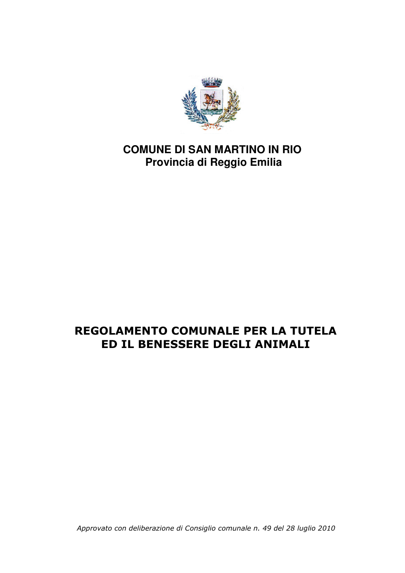

# **COMUNE DI SAN MARTINO IN RIO Provincia di Reggio Emilia**

# REGOLAMENTO COMUNALE PER LA TUTELA ED IL BENESSERE DEGLI ANIMALI

Approvato con deliberazione di Consiglio comunale n. 49 del 28 luglio 2010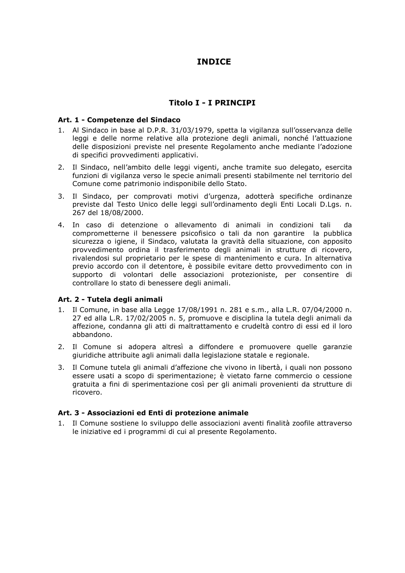# **INDICE**

# **Titolo I - I PRINCIPI**

### Art. 1 - Competenze del Sindaco

- 1. Al Sindaco in base al D.P.R. 31/03/1979, spetta la vigilanza sull'osservanza delle leggi e delle norme relative alla protezione degli animali, nonché l'attuazione delle disposizioni previste nel presente Regolamento anche mediante l'adozione di specifici provvedimenti applicativi.
- 2. Il Sindaco, nell'ambito delle leggi vigenti, anche tramite suo delegato, esercita funzioni di vigilanza verso le specie animali presenti stabilmente nel territorio del Comune come patrimonio indisponibile dello Stato.
- 3. Il Sindaco, per comprovati motivi d'urgenza, adotterà specifiche ordinanze previste dal Testo Unico delle leggi sull'ordinamento degli Enti Locali D.Lgs. n. 267 del 18/08/2000.
- 4. In caso di detenzione o allevamento di animali in condizioni tali da comprometterne il benessere psicofisico o tali da non garantire la pubblica sicurezza o igiene, il Sindaco, valutata la gravità della situazione, con apposito provvedimento ordina il trasferimento degli animali in strutture di ricovero, rivalendosi sul proprietario per le spese di mantenimento e cura. In alternativa previo accordo con il detentore, è possibile evitare detto provvedimento con in supporto di volontari delle associazioni protezioniste, per consentire di controllare lo stato di benessere degli animali.

#### Art. 2 - Tutela degli animali

- 1. Il Comune, in base alla Legge 17/08/1991 n. 281 e s.m., alla L.R. 07/04/2000 n. 27 ed alla L.R. 17/02/2005 n. 5, promuove e disciplina la tutela degli animali da affezione, condanna gli atti di maltrattamento e crudeltà contro di essi ed il loro abbandono.
- 2. Il Comune si adopera altresì a diffondere e promuovere quelle garanzie giuridiche attribuite agli animali dalla legislazione statale e regionale.
- 3. Il Comune tutela gli animali d'affezione che vivono in libertà, i quali non possono essere usati a scopo di sperimentazione; è vietato farne commercio o cessione gratuita a fini di sperimentazione così per gli animali provenienti da strutture di ricovero

#### Art. 3 - Associazioni ed Enti di protezione animale

1. Il Comune sostiene lo sviluppo delle associazioni aventi finalità zoofile attraverso le iniziative ed i programmi di cui al presente Regolamento.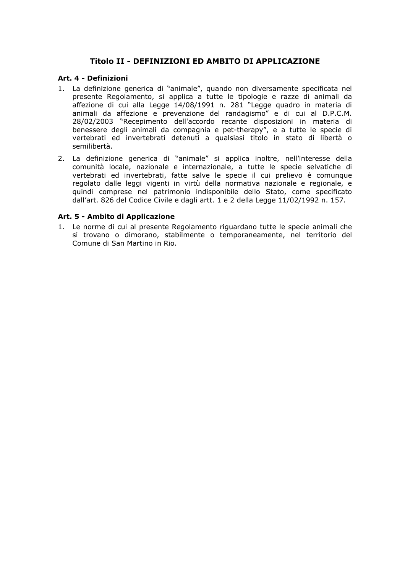# Titolo II - DEFINIZIONI ED AMBITO DI APPLICAZIONE

# Art. 4 - Definizioni

- 1. La definizione generica di "animale", quando non diversamente specificata nel presente Regolamento, si applica a tutte le tipologie e razze di animali da affezione di cui alla Legge 14/08/1991 n. 281 "Legge guadro in materia di animali da affezione e prevenzione del randagismo" e di cui al D.P.C.M. 28/02/2003 "Recepimento dell'accordo recante disposizioni in materia di benessere degli animali da compagnia e pet-therapy", e a tutte le specie di vertebrati ed invertebrati detenuti a qualsiasi titolo in stato di libertà o semilibertà.
- 2. La definizione generica di "animale" si applica inoltre, nell'interesse della comunità locale, nazionale e internazionale, a tutte le specie selvatiche di vertebrati ed invertebrati, fatte salve le specie il cui prelievo è comunque regolato dalle leggi vigenti in virtù della normativa nazionale e regionale, e quindi comprese nel patrimonio indisponibile dello Stato, come specificato dall'art. 826 del Codice Civile e dagli artt. 1 e 2 della Legge 11/02/1992 n. 157.

#### Art. 5 - Ambito di Applicazione

1. Le norme di cui al presente Regolamento riguardano tutte le specie animali che si trovano o dimorano, stabilmente o temporaneamente, nel territorio del Comune di San Martino in Rio.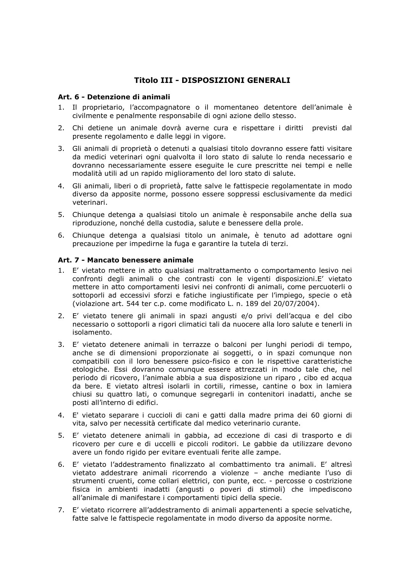# **Titolo III - DISPOSIZIONI GENERALI**

# Art. 6 - Detenzione di animali

- 1. Il proprietario, l'accompagnatore o il momentaneo detentore dell'animale è civilmente e penalmente responsabile di ogni azione dello stesso.
- 2. Chi detiene un animale dovrà averne cura e rispettare i diritti previsti dal presente regolamento e dalle leggi in vigore.
- 3. Gli animali di proprietà o detenuti a qualsiasi titolo dovranno essere fatti visitare da medici veterinari ogni qualvolta il loro stato di salute lo renda necessario e dovranno necessariamente essere esequite le cure prescritte nei tempi e nelle modalità utili ad un rapido miglioramento del loro stato di salute.
- 4. Gli animali, liberi o di proprietà, fatte salve le fattispecie regolamentate in modo diverso da apposite norme, possono essere soppressi esclusivamente da medici veterinari.
- 5. Chiungue detenga a qualsiasi titolo un animale è responsabile anche della sua riproduzione, nonché della custodia, salute e benessere della prole.
- 6. Chiunque detenga a qualsiasi titolo un animale, è tenuto ad adottare ogni precauzione per impedirne la fuga e garantire la tutela di terzi.

#### Art. 7 - Mancato benessere animale

- 1. E' vietato mettere in atto qualsiasi maltrattamento o comportamento lesivo nei confronti degli animali o che contrasti con le vigenti disposizioni.E' vietato mettere in atto comportamenti lesivi nei confronti di animali, come percuoterli o sottoporli ad eccessivi sforzi e fatiche ingiustificate per l'impiego, specie o età (violazione art. 544 ter c.p. come modificato L. n. 189 del 20/07/2004).
- 2. E' vietato tenere gli animali in spazi angusti e/o privi dell'acqua e del cibo necessario o sottoporli a rigori climatici tali da nuocere alla loro salute e tenerli in isolamento.
- 3. E' vietato detenere animali in terrazze o balconi per lunghi periodi di tempo, anche se di dimensioni proporzionate ai soggetti, o in spazi comunque non compatibili con il loro benessere psico-fisico e con le rispettive caratteristiche etologiche. Essi dovranno comunque essere attrezzati in modo tale che, nel periodo di ricovero, l'animale abbia a sua disposizione un riparo, cibo ed acqua da bere. E vietato altresì isolarli in cortili, rimesse, cantine o box in lamiera chiusi su quattro lati, o comunque segregarli in contenitori inadatti, anche se posti all'interno di edifici.
- 4. E' vietato separare i cuccioli di cani e gatti dalla madre prima dei 60 giorni di vita, salvo per necessità certificate dal medico veterinario curante.
- 5. E' vietato detenere animali in gabbia, ad eccezione di casi di trasporto e di ricovero per cure e di uccelli e piccoli roditori. Le gabbie da utilizzare devono avere un fondo rigido per evitare eventuali ferite alle zampe.
- 6. E' vietato l'addestramento finalizzato al combattimento tra animali. E' altresì vietato addestrare animali ricorrendo a violenze - anche mediante l'uso di strumenti cruenti, come collari elettrici, con punte, ecc. - percosse o costrizione fisica in ambienti inadatti (angusti o poveri di stimoli) che impediscono all'animale di manifestare i comportamenti tipici della specie.
- 7. E' vietato ricorrere all'addestramento di animali appartenenti a specie selvatiche, fatte salve le fattispecie regolamentate in modo diverso da apposite norme.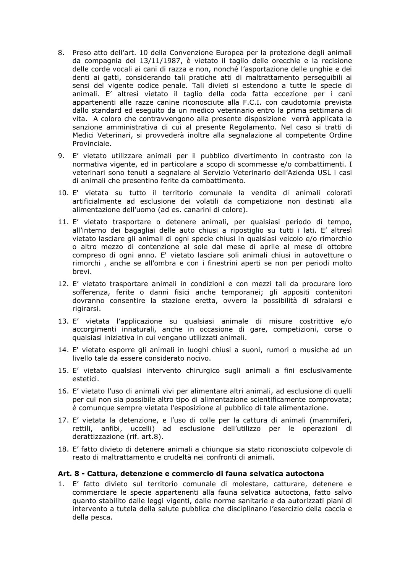- 8. Preso atto dell'art. 10 della Convenzione Europea per la protezione degli animali da compagnia del 13/11/1987, è vietato il taglio delle orecchie e la recisione delle corde vocali ai cani di razza e non, nonché l'asportazione delle unghie e dei denti ai gatti, considerando tali pratiche atti di maltrattamento perseguibili ai sensi del vigente codice penale. Tali divieti si estendono a tutte le specie di animali. E' altresì vietato il taglio della coda fatta eccezione per i cani appartenenti alle razze canine riconosciute alla F.C.I. con caudotomia prevista dallo standard ed eseguito da un medico veterinario entro la prima settimana di vita. A coloro che contravvengono alla presente disposizione verrà applicata la sanzione amministrativa di cui al presente Regolamento. Nel caso si tratti di Medici Veterinari, si provvederà inoltre alla segnalazione al competente Ordine Provinciale.
- 9. E' vietato utilizzare animali per il pubblico divertimento in contrasto con la normativa vigente, ed in particolare a scopo di scommesse e/o combattimenti. I veterinari sono tenuti a segnalare al Servizio Veterinario dell'Azienda USL i casi di animali che presentino ferite da combattimento.
- 10. E' vietata su tutto il territorio comunale la vendita di animali colorati artificialmente ad esclusione dei volatili da competizione non destinati alla alimentazione dell'uomo (ad es. canarini di colore).
- 11. E' vietato trasportare o detenere animali, per qualsiasi periodo di tempo, all'interno dei bagagliai delle auto chiusi a ripostiglio su tutti i lati. E' altresì vietato lasciare gli animali di ogni specie chiusi in qualsiasi veicolo e/o rimorchio o altro mezzo di contenzione al sole dal mese di aprile al mese di ottobre compreso di ogni anno. E' vietato lasciare soli animali chiusi in autovetture o rimorchi, anche se all'ombra e con i finestrini aperti se non per periodi molto brevi.
- 12. E' vietato trasportare animali in condizioni e con mezzi tali da procurare loro sofferenza, ferite o danni fisici anche temporanei; gli appositi contenitori dovranno consentire la stazione eretta, ovvero la possibilità di sdraiarsi e rigirarsi.
- 13. E' vietata l'applicazione su qualsiasi animale di misure costrittive e/o accorgimenti innaturali, anche in occasione di gare, competizioni, corse o qualsiasi iniziativa in cui vengano utilizzati animali.
- 14. E' vietato esporre gli animali in luoghi chiusi a suoni, rumori o musiche ad un livello tale da essere considerato nocivo.
- 15. E' vietato qualsiasi intervento chirurgico sugli animali a fini esclusivamente estetici.
- 16. E' vietato l'uso di animali vivi per alimentare altri animali, ad esclusione di quelli per cui non sia possibile altro tipo di alimentazione scientificamente comprovata; è comunque sempre vietata l'esposizione al pubblico di tale alimentazione.
- 17. E' vietata la detenzione, e l'uso di colle per la cattura di animali (mammiferi, rettili, anfibi, uccelli) ad esclusione dell'utilizzo per le operazioni di derattizzazione (rif. art.8).
- 18. E' fatto divieto di detenere animali a chiungue sia stato riconosciuto colpevole di reato di maltrattamento e crudeltà nei confronti di animali.

#### Art. 8 - Cattura, detenzione e commercio di fauna selvatica autoctona

1. E' fatto divieto sul territorio comunale di molestare, catturare, detenere e commerciare le specie appartenenti alla fauna selvatica autoctona, fatto salvo quanto stabilito dalle leggi vigenti, dalle norme sanitarie e da autorizzati piani di intervento a tutela della salute pubblica che disciplinano l'esercizio della caccia e della pesca.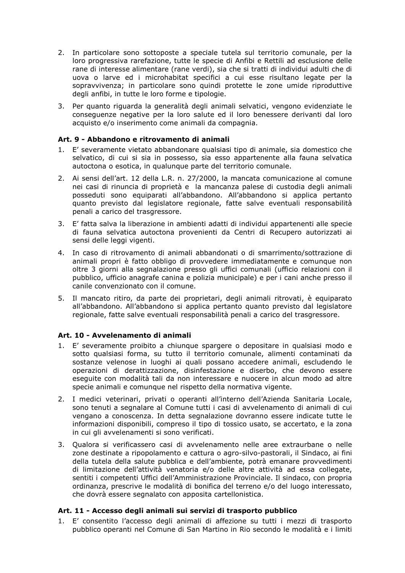- 2. In particolare sono sottoposte a speciale tutela sul territorio comunale, per la loro progressiva rarefazione, tutte le specie di Anfibi e Rettili ad esclusione delle rane di interesse alimentare (rane verdi), sia che si tratti di individui adulti che di uova o larve ed i microhabitat specifici a cui esse risultano legate per la sopravvivenza; in particolare sono quindi protette le zone umide riproduttive degli anfibi, in tutte le loro forme e tipologie.
- 3. Per quanto riguarda la generalità degli animali selvatici, vengono evidenziate le consequenze negative per la loro salute ed il loro benessere derivanti dal loro acquisto e/o inserimento come animali da compagnia.

# Art. 9 - Abbandono e ritrovamento di animali

- 1. E' severamente vietato abbandonare qualsiasi tipo di animale, sia domestico che selvatico, di cui si sia in possesso, sia esso appartenente alla fauna selvatica autoctona o esotica, in qualunque parte del territorio comunale.
- 2. Ai sensi dell'art. 12 della L.R. n. 27/2000, la mancata comunicazione al comune nei casi di rinuncia di proprietà e la mancanza palese di custodia degli animali posseduti sono equiparati all'abbandono. All'abbandono si applica pertanto quanto previsto dal legislatore regionale, fatte salve eventuali responsabilità penali a carico del trasgressore.
- 3. E' fatta salva la liberazione in ambienti adatti di individui appartenenti alle specie di fauna selvatica autoctona provenienti da Centri di Recupero autorizzati ai sensi delle leggi vigenti.
- 4. In caso di ritrovamento di animali abbandonati o di smarrimento/sottrazione di animali propri è fatto obbligo di provvedere immediatamente e comunque non oltre 3 giorni alla segnalazione presso gli uffici comunali (ufficio relazioni con il pubblico, ufficio anagrafe canina e polizia municipale) e per i cani anche presso il canile convenzionato con il comune.
- 5. Il mancato ritiro, da parte dei proprietari, degli animali ritrovati, è equiparato all'abbandono. All'abbandono si applica pertanto quanto previsto dal legislatore regionale, fatte salve eventuali responsabilità penali a carico del trasgressore.

#### Art. 10 - Avvelenamento di animali

- 1. E' severamente proibito a chiungue spargere o depositare in qualsiasi modo e sotto qualsiasi forma, su tutto il territorio comunale, alimenti contaminati da sostanze velenose in luoghi ai quali possano accedere animali, escludendo le operazioni di derattizzazione, disinfestazione e diserbo, che devono essere esequite con modalità tali da non interessare e nuocere in alcun modo ad altre specie animali e comunque nel rispetto della normativa vigente.
- 2. I medici veterinari, privati o operanti all'interno dell'Azienda Sanitaria Locale, sono tenuti a segnalare al Comune tutti i casi di avvelenamento di animali di cui vengano a conoscenza. In detta segnalazione dovranno essere indicate tutte le informazioni disponibili, compreso il tipo di tossico usato, se accertato, e la zona in cui gli avvelenamenti si sono verificati.
- 3. Qualora si verificassero casi di avvelenamento nelle aree extraurbane o nelle zone destinate a ripopolamento e cattura o agro-silvo-pastorali, il Sindaco, ai fini della tutela della salute pubblica e dell'ambiente, potrà emanare provvedimenti di limitazione dell'attività venatoria e/o delle altre attività ad essa collegate, sentiti i competenti Uffici dell'Amministrazione Provinciale. Il sindaco, con propria ordinanza, prescrive le modalità di bonifica del terreno e/o del luogo interessato, che dovrà essere segnalato con apposita cartellonistica.

#### Art. 11 - Accesso degli animali sui servizi di trasporto pubblico

1. E' consentito l'accesso degli animali di affezione su tutti i mezzi di trasporto pubblico operanti nel Comune di San Martino in Rio secondo le modalità e i limiti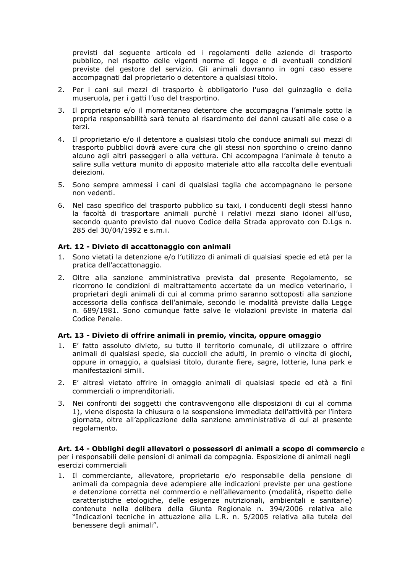previsti dal seguente articolo ed i regolamenti delle aziende di trasporto pubblico, nel rispetto delle vigenti norme di legge e di eventuali condizioni previste del gestore del servizio. Gli animali dovranno in ogni caso essere accompagnati dal proprietario o detentore a qualsiasi titolo.

- 2. Per i cani sui mezzi di trasporto è obbligatorio l'uso del quinzaglio e della museruola, per i gatti l'uso del trasportino.
- 3. Il proprietario e/o il momentaneo detentore che accompagna l'animale sotto la propria responsabilità sarà tenuto al risarcimento dei danni causati alle cose o a terzi.
- 4. Il proprietario e/o il detentore a qualsiasi titolo che conduce animali sui mezzi di trasporto pubblici dovrà avere cura che gli stessi non sporchino o creino danno alcuno agli altri passeggeri o alla vettura. Chi accompagna l'animale è tenuto a salire sulla vettura munito di apposito materiale atto alla raccolta delle eventuali deiezioni.
- 5. Sono sempre ammessi i cani di qualsiasi taglia che accompagnano le persone non vedenti.
- 6. Nel caso specifico del trasporto pubblico su taxi, i conducenti degli stessi hanno la facoltà di trasportare animali purchè i relativi mezzi siano idonei all'uso, secondo quanto previsto dal nuovo Codice della Strada approvato con D.Lqs n. 285 del 30/04/1992 e s.m.i.

# Art. 12 - Divieto di accattonaggio con animali

- 1. Sono vietati la detenzione e/o l'utilizzo di animali di qualsiasi specie ed età per la pratica dell'accattonaggio.
- 2. Oltre alla sanzione amministrativa prevista dal presente Regolamento, se ricorrono le condizioni di maltrattamento accertate da un medico veterinario, i proprietari degli animali di cui al comma primo saranno sottoposti alla sanzione accessoria della confisca dell'animale, secondo le modalità previste dalla Legge n. 689/1981. Sono comunque fatte salve le violazioni previste in materia dal Codice Penale.

### Art. 13 - Divieto di offrire animali in premio, vincita, oppure omaggio

- 1. E' fatto assoluto divieto, su tutto il territorio comunale, di utilizzare o offrire animali di qualsiasi specie, sia cuccioli che adulti, in premio o vincita di giochi, oppure in omaggio, a qualsiasi titolo, durante fiere, sagre, lotterie, luna park e manifestazioni simili.
- 2. E' altresì vietato offrire in omaggio animali di qualsiasi specie ed età a fini commerciali o imprenditoriali.
- Nei confronti dei soggetti che contravvengono alle disposizioni di cui al comma 3. 1), viene disposta la chiusura o la sospensione immediata dell'attività per l'intera giornata, oltre all'applicazione della sanzione amministrativa di cui al presente regolamento.

Art. 14 - Obblighi degli allevatori o possessori di animali a scopo di commercio e per i responsabili delle pensioni di animali da compagnia. Esposizione di animali negli esercizi commerciali

1. Il commerciante, allevatore, proprietario e/o responsabile della pensione di animali da compagnia deve adempiere alle indicazioni previste per una gestione e detenzione corretta nel commercio e nell'allevamento (modalità, rispetto delle caratteristiche etologiche, delle esigenze nutrizionali, ambientali e sanitarie) contenute nella delibera della Giunta Regionale n. 394/2006 relativa alle "Indicazioni tecniche in attuazione alla L.R. n. 5/2005 relativa alla tutela del benessere degli animali".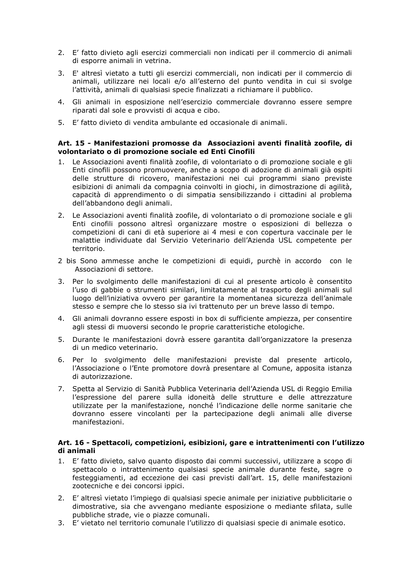- 2. E' fatto divieto agli esercizi commerciali non indicati per il commercio di animali di esporre animali in vetrina.
- 3. E' altresì vietato a tutti gli esercizi commerciali, non indicati per il commercio di animali, utilizzare nei locali e/o all'esterno del punto vendita in cui si svolge l'attività, animali di qualsiasi specie finalizzati a richiamare il pubblico.
- 4. Gli animali in esposizione nell'esercizio commerciale dovranno essere sempre riparati dal sole e provvisti di acqua e cibo.
- 5. E' fatto divieto di vendita ambulante ed occasionale di animali.

#### Art. 15 - Manifestazioni promosse da Associazioni aventi finalità zoofile, di volontariato o di promozione sociale ed Enti Cinofili

- 1. Le Associazioni aventi finalità zoofile, di volontariato o di promozione sociale e gli Enti cinofili possono promuovere, anche a scopo di adozione di animali già ospiti delle strutture di ricovero, manifestazioni nei cui programmi siano previste esibizioni di animali da compagnia coinvolti in giochi, in dimostrazione di agilità, capacità di apprendimento o di simpatia sensibilizzando i cittadini al problema dell'abbandono degli animali.
- 2. Le Associazioni aventi finalità zoofile, di volontariato o di promozione sociale e gli Enti cinofili possono altresì organizzare mostre o esposizioni di bellezza o competizioni di cani di età superiore ai 4 mesi e con copertura vaccinale per le malattie individuate dal Servizio Veterinario dell'Azienda USL competente per territorio.
- 2 bis Sono ammesse anche le competizioni di equidi, purchè in accordo con le Associazioni di settore.
- Per lo svolgimento delle manifestazioni di cui al presente articolo è consentito  $3<sub>1</sub>$ l'uso di gabbie o strumenti similari, limitatamente al trasporto degli animali sul luogo dell'iniziativa ovvero per garantire la momentanea sicurezza dell'animale stesso e sempre che lo stesso sia ivi trattenuto per un breve lasso di tempo.
- 4. Gli animali dovranno essere esposti in box di sufficiente ampiezza, per consentire agli stessi di muoversi secondo le proprie caratteristiche etologiche.
- 5. Durante le manifestazioni dovrà essere garantita dall'organizzatore la presenza di un medico veterinario.
- 6. Per lo svolgimento delle manifestazioni previste dal presente articolo, l'Associazione o l'Ente promotore dovrà presentare al Comune, apposita istanza di autorizzazione.
- 7. Spetta al Servizio di Sanità Pubblica Veterinaria dell'Azienda USL di Reggio Emilia l'espressione del parere sulla idoneità delle strutture e delle attrezzature utilizzate per la manifestazione, nonché l'indicazione delle norme sanitarie che dovranno essere vincolanti per la partecipazione degli animali alle diverse manifestazioni.

#### Art. 16 - Spettacoli, competizioni, esibizioni, gare e intrattenimenti con l'utilizzo di animali

- 1. E' fatto divieto, salvo quanto disposto dai commi successivi, utilizzare a scopo di spettacolo o intrattenimento qualsiasi specie animale durante feste, sagre o festeggiamenti, ad eccezione dei casi previsti dall'art. 15, delle manifestazioni zootecniche e dei concorsi ippici.
- 2. E' altresì vietato l'impiego di qualsiasi specie animale per iniziative pubblicitarie o dimostrative, sia che avvengano mediante esposizione o mediante sfilata, sulle pubbliche strade, vie o piazze comunali.
- 3. E' vietato nel territorio comunale l'utilizzo di qualsiasi specie di animale esotico.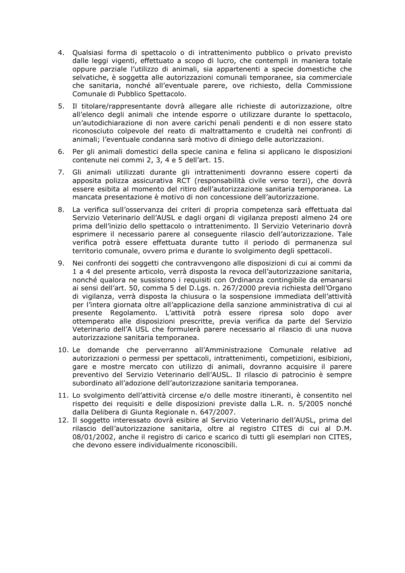- 4. Qualsiasi forma di spettacolo o di intrattenimento pubblico o privato previsto dalle leggi vigenti, effettuato a scopo di lucro, che contempli in maniera totale oppure parziale l'utilizzo di animali, sia appartenenti a specie domestiche che selvatiche, è soggetta alle autorizzazioni comunali temporanee, sia commerciale che sanitaria, nonché all'eventuale parere, ove richiesto, della Commissione Comunale di Pubblico Spettacolo.
- 5. Il titolare/rappresentante dovrà allegare alle richieste di autorizzazione, oltre all'elenco degli animali che intende esporre o utilizzare durante lo spettacolo, un'autodichiarazione di non avere carichi penali pendenti e di non essere stato riconosciuto colpevole del reato di maltrattamento e crudeltà nei confronti di animali; l'eventuale condanna sarà motivo di diniego delle autorizzazioni.
- 6. Per gli animali domestici della specie canina e felina si applicano le disposizioni contenute nei commi 2, 3, 4 e 5 dell'art. 15.
- 7. Gli animali utilizzati durante gli intrattenimenti dovranno essere coperti da apposita polizza assicurativa RCT (responsabilità civile verso terzi), che dovrà essere esibita al momento del ritiro dell'autorizzazione sanitaria temporanea. La mancata presentazione è motivo di non concessione dell'autorizzazione.
- 8. La verifica sull'osservanza dei criteri di propria competenza sarà effettuata dal Servizio Veterinario dell'AUSL e dagli organi di vigilanza preposti almeno 24 ore prima dell'inizio dello spettacolo o intrattenimento. Il Servizio Veterinario dovrà esprimere il necessario parere al conseguente rilascio dell'autorizzazione. Tale verifica potrà essere effettuata durante tutto il periodo di permanenza sul territorio comunale, ovvero prima e durante lo svolgimento degli spettacoli.
- 9. Nei confronti dei soggetti che contravvengono alle disposizioni di cui ai commi da 1 a 4 del presente articolo, verrà disposta la revoca dell'autorizzazione sanitaria, nonché qualora ne sussistono i requisiti con Ordinanza contingibile da emanarsi ai sensi dell'art. 50, comma 5 del D.Lgs. n. 267/2000 previa richiesta dell'Organo di vigilanza, verrà disposta la chiusura o la sospensione immediata dell'attività per l'intera giornata oltre all'applicazione della sanzione amministrativa di cui al presente Regolamento. L'attività potrà essere ripresa solo dopo aver ottemperato alle disposizioni prescritte, previa verifica da parte del Servizio Veterinario dell'A USL che formulerà parere necessario al rilascio di una nuova autorizzazione sanitaria temporanea.
- 10. Le domande che perverranno all'Amministrazione Comunale relative ad autorizzazioni o permessi per spettacoli, intrattenimenti, competizioni, esibizioni, gare e mostre mercato con utilizzo di animali, dovranno acquisire il parere preventivo del Servizio Veterinario dell'AUSL. Il rilascio di patrocinio è sempre subordinato all'adozione dell'autorizzazione sanitaria temporanea.
- 11. Lo svolgimento dell'attività circense e/o delle mostre itineranti, è consentito nel rispetto dei requisiti e delle disposizioni previste dalla L.R. n. 5/2005 nonché dalla Delibera di Giunta Regionale n. 647/2007.
- 12. Il soggetto interessato dovrà esibire al Servizio Veterinario dell'AUSL, prima del rilascio dell'autorizzazione sanitaria, oltre al registro CITES di cui al D.M. 08/01/2002, anche il registro di carico e scarico di tutti gli esemplari non CITES, che devono essere individualmente riconoscibili.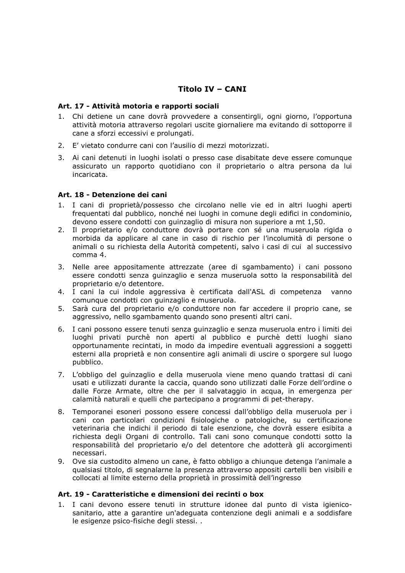# **Titolo IV - CANI**

# Art. 17 - Attività motoria e rapporti sociali

- 1. Chi detiene un cane dovrà provvedere a consentirgli, ogni giorno, l'opportuna attività motoria attraverso regolari uscite giornaliere ma evitando di sottoporre il cane a sforzi eccessivi e prolungati.
- 2. E' vietato condurre cani con l'ausilio di mezzi motorizzati.
- 3. Ai cani detenuti in luoghi isolati o presso case disabitate deve essere comunque assicurato un rapporto quotidiano con il proprietario o altra persona da lui incaricata.

# Art. 18 - Detenzione dei cani

- 1. I cani di proprietà/possesso che circolano nelle vie ed in altri luoghi aperti frequentati dal pubblico, nonché nei luoghi in comune degli edifici in condominio, devono essere condotti con quinzaglio di misura non superiore a mt 1,50.
- 2. Il proprietario e/o conduttore dovrà portare con sé una museruola rigida o morbida da applicare al cane in caso di rischio per l'incolumità di persone o animali o su richiesta della Autorità competenti, salvo i casi di cui al successivo comma 4.
- 3. Nelle aree appositamente attrezzate (aree di sgambamento) i cani possono essere condotti senza quinzaglio e senza museruola sotto la responsabilità del proprietario e/o detentore.
- 4. I cani la cui indole aggressiva è certificata dall'ASL di competenza vanno comunque condotti con guinzaglio e museruola.
- 5. Sarà cura del proprietario e/o conduttore non far accedere il proprio cane, se aggressivo, nello sgambamento guando sono presenti altri cani.
- 6. I cani possono essere tenuti senza guinzaglio e senza museruola entro i limiti dei luoghi privati purchè non aperti al pubblico e purchè detti luoghi siano opportunamente recintati, in modo da impedire eventuali aggressioni a soggetti esterni alla proprietà e non consentire agli animali di uscire o sporgere sul luogo pubblico.
- 7. L'obbligo del guinzaglio e della museruola viene meno quando trattasi di cani usati e utilizzati durante la caccia, quando sono utilizzati dalle Forze dell'ordine o dalle Forze Armate, oltre che per il salvataggio in acqua, in emergenza per calamità naturali e quelli che partecipano a programmi di pet-therapy.
- 8. Temporanei esoneri possono essere concessi dall'obbligo della museruola per i cani con particolari condizioni fisiologiche o patologiche, su certificazione veterinaria che indichi il periodo di tale esenzione, che dovrà essere esibita a richiesta degli Organi di controllo. Tali cani sono comunque condotti sotto la responsabilità del proprietario e/o del detentore che adotterà gli accorgimenti necessari.
- 9. Ove sia custodito almeno un cane, è fatto obbligo a chiunque detenga l'animale a qualsiasi titolo, di segnalarne la presenza attraverso appositi cartelli ben visibili e collocati al limite esterno della proprietà in prossimità dell'ingresso

# Art. 19 - Caratteristiche e dimensioni dei recinti o box

1. I cani devono essere tenuti in strutture idonee dal punto di vista igienicosanitario, atte a garantire un'adeguata contenzione degli animali e a soddisfare le esigenze psico-fisiche degli stessi..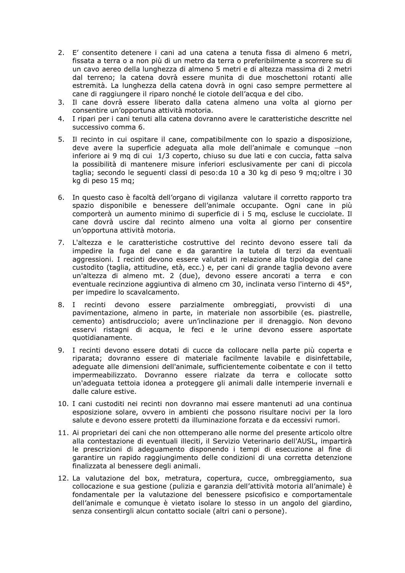- 2. E' consentito detenere i cani ad una catena a tenuta fissa di almeno 6 metri, fissata a terra o a non più di un metro da terra o preferibilmente a scorrere su di un cavo aereo della lunghezza di almeno 5 metri e di altezza massima di 2 metri dal terreno; la catena dovrà essere munita di due moschettoni rotanti alle estremità. La lunghezza della catena dovrà in ogni caso sempre permettere al cane di raggiungere il riparo nonché le ciotole dell'acqua e del cibo.
- 3. Il cane dovrà essere liberato dalla catena almeno una volta al giorno per consentire un'opportuna attività motoria.
- 4. I ripari per i cani tenuti alla catena dovranno avere le caratteristiche descritte nel successivo comma 6.
- 5. Il recinto in cui ospitare il cane, compatibilmente con lo spazio a disposizione. deve avere la superficie adequata alla mole dell'animale e comunque -- non inferiore ai 9 mq di cui 1/3 coperto, chiuso su due lati e con cuccia, fatta salva la possibilità di mantenere misure inferiori esclusivamente per cani di piccola taglia; secondo le seguenti classi di peso: da 10 a 30 kg di peso 9 mg; oltre i 30 kg di peso 15 mq;
- 6. In questo caso è facoltà dell'organo di vigilanza valutare il corretto rapporto tra spazio disponibile e benessere dell'animale occupante. Ogni cane in più comporterà un aumento minimo di superficie di i 5 mg, escluse le cucciolate. Il cane dovrà uscire dal recinto almeno una volta al giorno per consentire un'opportuna attività motoria.
- 7. L'altezza e le caratteristiche costruttive del recinto devono essere tali da impedire la fuga del cane e da garantire la tutela di terzi da eventuali aggressioni. I recinti devono essere valutati in relazione alla tipologia del cane custodito (taglia, attitudine, età, ecc.) e, per cani di grande taglia devono avere un'altezza di almeno mt. 2 (due), devono essere ancorati a terra e con eventuale recinzione aggiuntiva di almeno cm 30, inclinata verso l'interno di 45°, per impedire lo scavalcamento.
- 8. I recinti devono essere parzialmente ombreggiati, provvisti di una pavimentazione, almeno in parte, in materiale non assorbibile (es. piastrelle, cemento) antisdrucciolo; avere un'inclinazione per il drenaggio. Non devono esservi ristagni di acqua, le feci e le urine devono essere asportate quotidianamente.
- 9. I recinti devono essere dotati di cucce da collocare nella parte più coperta e riparata; dovranno essere di materiale facilmente lavabile e disinfettabile, adequate alle dimensioni dell'animale, sufficientemente coibentate e con il tetto impermeabilizzato. Dovranno essere rialzate da terra e collocate sotto un'adeguata tettoia idonea a proteggere gli animali dalle intemperie invernali e dalle calure estive.
- 10. I cani custoditi nei recinti non dovranno mai essere mantenuti ad una continua esposizione solare, ovvero in ambienti che possono risultare nocivi per la loro salute e devono essere protetti da illuminazione forzata e da eccessivi rumori.
- 11. Ai proprietari dei cani che non ottemperano alle norme del presente articolo oltre alla contestazione di eventuali illeciti, il Servizio Veterinario dell'AUSL, impartirà le prescrizioni di adequamento disponendo i tempi di esecuzione al fine di garantire un rapido raggiungimento delle condizioni di una corretta detenzione finalizzata al benessere degli animali.
- 12. La valutazione del box, metratura, copertura, cucce, ombreggiamento, sua collocazione e sua gestione (pulizia e garanzia dell'attività motoria all'animale) è fondamentale per la valutazione del benessere psicofisico e comportamentale dell'animale e comunque è vietato isolare lo stesso in un angolo del giardino, senza consentirgli alcun contatto sociale (altri cani o persone).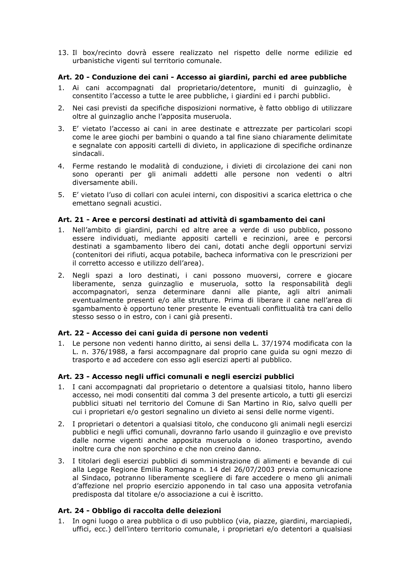13. Il box/recinto dovrà essere realizzato nel rispetto delle norme edilizie ed urbanistiche vigenti sul territorio comunale.

# Art. 20 - Conduzione dei cani - Accesso ai giardini, parchi ed aree pubbliche

- 1. Ai cani accompagnati dal proprietario/detentore, muniti di guinzaglio, è consentito l'accesso a tutte le aree pubbliche, i giardini ed i parchi pubblici.
- 2. Nei casi previsti da specifiche disposizioni normative, è fatto obbligo di utilizzare oltre al quinzaglio anche l'apposita museruola.
- 3. E' vietato l'accesso ai cani in aree destinate e attrezzate per particolari scopi come le aree giochi per bambini o quando a tal fine siano chiaramente delimitate e segnalate con appositi cartelli di divieto, in applicazione di specifiche ordinanze sindacali.
- 4. Ferme restando le modalità di conduzione, i divieti di circolazione dei cani non sono operanti per gli animali addetti alle persone non vedenti o altri diversamente abili.
- 5. E' vietato l'uso di collari con aculei interni, con dispositivi a scarica elettrica o che emettano segnali acustici.

# Art. 21 - Aree e percorsi destinati ad attività di sgambamento dei cani

- 1. Nell'ambito di giardini, parchi ed altre aree a verde di uso pubblico, possono essere individuati, mediante appositi cartelli e recinzioni, aree e percorsi destinati a sgambamento libero dei cani, dotati anche degli opportuni servizi (contenitori dei rifiuti, acqua potabile, bacheca informativa con le prescrizioni per il corretto accesso e utilizzo dell'area).
- 2. Negli spazi a loro destinati, i cani possono muoversi, correre e giocare liberamente, senza guinzaglio e museruola, sotto la responsabilità degli accompagnatori, senza determinare danni alle piante, agli altri animali eventualmente presenti e/o alle strutture. Prima di liberare il cane nell'area di sgambamento è opportuno tener presente le eventuali conflittualità tra cani dello stesso sesso o in estro, con i cani già presenti.

## Art. 22 - Accesso dei cani quida di persone non vedenti

1. Le persone non vedenti hanno diritto, ai sensi della L. 37/1974 modificata con la L. n. 376/1988, a farsi accompagnare dal proprio cane guida su ogni mezzo di trasporto e ad accedere con esso agli esercizi aperti al pubblico.

#### Art. 23 - Accesso negli uffici comunali e negli esercizi pubblici

- 1. I cani accompagnati dal proprietario o detentore a qualsiasi titolo, hanno libero accesso, nei modi consentiti dal comma 3 del presente articolo, a tutti gli esercizi pubblici situati nel territorio del Comune di San Martino in Rio, salvo quelli per cui i proprietari e/o gestori segnalino un divieto ai sensi delle norme vigenti.
- 2. I proprietari o detentori a qualsiasi titolo, che conducono gli animali negli esercizi pubblici e negli uffici comunali, dovranno farlo usando il guinzaglio e ove previsto dalle norme vigenti anche apposita museruola o idoneo trasportino, avendo inoltre cura che non sporchino e che non creino danno.
- 3. I titolari degli esercizi pubblici di somministrazione di alimenti e bevande di cui alla Legge Regione Emilia Romagna n. 14 del 26/07/2003 previa comunicazione al Sindaco, potranno liberamente scegliere di fare accedere o meno gli animali d'affezione nel proprio esercizio apponendo in tal caso una apposita vetrofania predisposta dal titolare e/o associazione a cui è iscritto.

#### Art. 24 - Obbligo di raccolta delle deiezioni

1. In ogni luogo o area pubblica o di uso pubblico (via, piazze, giardini, marciapiedi, uffici, ecc.) dell'intero territorio comunale, i proprietari e/o detentori a qualsiasi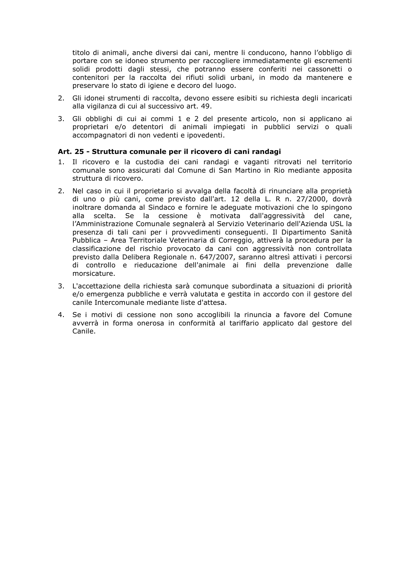titolo di animali, anche diversi dai cani, mentre li conducono, hanno l'obbligo di portare con se idoneo strumento per raccogliere immediatamente gli escrementi solidi prodotti dagli stessi, che potranno essere conferiti nei cassonetti o contenitori per la raccolta dei rifiuti solidi urbani, in modo da mantenere e preservare lo stato di igiene e decoro del luogo.

- 2. Gli idonei strumenti di raccolta, devono essere esibiti su richiesta degli incaricati alla vigilanza di cui al successivo art. 49.
- 3. Gli obblighi di cui ai commi 1 e 2 del presente articolo, non si applicano ai proprietari e/o detentori di animali impiegati in pubblici servizi o quali accompagnatori di non vedenti e ipovedenti.

#### Art. 25 - Struttura comunale per il ricovero di cani randagi

- 1. Il ricovero e la custodia dei cani randagi e vaganti ritrovati nel territorio comunale sono assicurati dal Comune di San Martino in Rio mediante apposita struttura di ricovero.
- 2. Nel caso in cui il proprietario si avvalga della facoltà di rinunciare alla proprietà di uno o più cani, come previsto dall'art. 12 della L. R n. 27/2000, dovrà inoltrare domanda al Sindaco e fornire le adeguate motivazioni che lo spingono alla scelta. Se la cessione è motivata dall'aggressività del cane, l'Amministrazione Comunale segnalerà al Servizio Veterinario dell'Azienda USL la presenza di tali cani per i provvedimenti conseguenti. Il Dipartimento Sanità Pubblica - Area Territoriale Veterinaria di Correggio, attiverà la procedura per la classificazione del rischio provocato da cani con aggressività non controllata previsto dalla Delibera Regionale n. 647/2007, saranno altresì attivati i percorsi di controllo e rieducazione dell'animale ai fini della prevenzione dalle morsicature.
- 3. L'accettazione della richiesta sarà comunque subordinata a situazioni di priorità e/o emergenza pubbliche e verrà valutata e gestita in accordo con il gestore del canile Intercomunale mediante liste d'attesa.
- 4. Se i motivi di cessione non sono accoglibili la rinuncia a favore del Comune avverrà in forma onerosa in conformità al tariffario applicato dal gestore del Canile.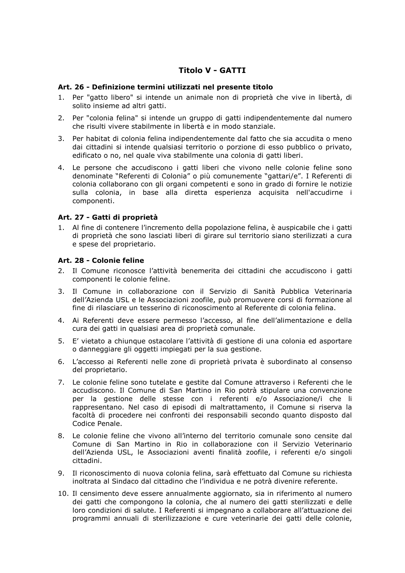# **Titolo V - GATTI**

# Art. 26 - Definizione termini utilizzati nel presente titolo

- 1. Per "gatto libero" si intende un animale non di proprietà che vive in libertà, di solito insieme ad altri gatti.
- Per "colonia felina" si intende un gruppo di gatti indipendentemente dal numero  $2.$ che risulti vivere stabilmente in libertà e in modo stanziale.
- 3. Per habitat di colonia felina indipendentemente dal fatto che sia accudita o meno dai cittadini si intende qualsiasi territorio o porzione di esso pubblico o privato, edificato o no, nel quale viva stabilmente una colonia di gatti liberi.
- 4. Le persone che accudiscono i gatti liberi che vivono nelle colonie feline sono denominate "Referenti di Colonia" o più comunemente "gattari/e". I Referenti di colonia collaborano con gli organi competenti e sono in grado di fornire le notizie sulla colonia, in base alla diretta esperienza acquisita nell'accudirne i componenti.

# Art. 27 - Gatti di proprietà

1. Al fine di contenere l'incremento della popolazione felina, è auspicabile che i gatti di proprietà che sono lasciati liberi di girare sul territorio siano sterilizzati a cura e spese del proprietario.

# Art. 28 - Colonie feline

- 2. Il Comune riconosce l'attività benemerita dei cittadini che accudiscono i gatti componenti le colonie feline.
- 3. Il Comune in collaborazione con il Servizio di Sanità Pubblica Veterinaria dell'Azienda USL e le Associazioni zoofile, può promuovere corsi di formazione al fine di rilasciare un tesserino di riconoscimento al Referente di colonia felina.
- 4. Ai Referenti deve essere permesso l'accesso, al fine dell'alimentazione e della cura dei gatti in qualsiasi area di proprietà comunale.
- 5. E' vietato a chiunque ostacolare l'attività di gestione di una colonia ed asportare o danneggiare gli oggetti impiegati per la sua gestione.
- 6. L'accesso ai Referenti nelle zone di proprietà privata è subordinato al consenso del proprietario.
- 7. Le colonie feline sono tutelate e gestite dal Comune attraverso i Referenti che le accudiscono. Il Comune di San Martino in Rio potrà stipulare una convenzione per la gestione delle stesse con i referenti e/o Associazione/i che li rappresentano. Nel caso di episodi di maltrattamento, il Comune si riserva la facoltà di procedere nei confronti dei responsabili secondo quanto disposto dal Codice Penale.
- 8. Le colonie feline che vivono all'interno del territorio comunale sono censite dal Comune di San Martino in Rio in collaborazione con il Servizio Veterinario dell'Azienda USL, le Associazioni aventi finalità zoofile, i referenti e/o singoli cittadini.
- 9. Il riconoscimento di nuova colonia felina, sarà effettuato dal Comune su richiesta inoltrata al Sindaco dal cittadino che l'individua e ne potrà divenire referente.
- 10. Il censimento deve essere annualmente aggiornato, sia in riferimento al numero dei gatti che compongono la colonia, che al numero dei gatti sterilizzati e delle loro condizioni di salute. I Referenti si impegnano a collaborare all'attuazione dei programmi annuali di sterilizzazione e cure veterinarie dei gatti delle colonie,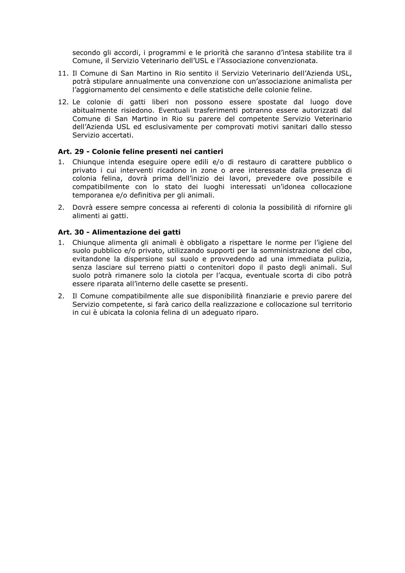secondo gli accordi, i programmi e le priorità che saranno d'intesa stabilite tra il Comune, il Servizio Veterinario dell'USL e l'Associazione convenzionata.

- 11. Il Comune di San Martino in Rio sentito il Servizio Veterinario dell'Azienda USL, potrà stipulare annualmente una convenzione con un'associazione animalista per l'aggiornamento del censimento e delle statistiche delle colonie feline.
- 12. Le colonie di gatti liberi non possono essere spostate dal luogo dove abitualmente risiedono. Eventuali trasferimenti potranno essere autorizzati dal Comune di San Martino in Rio su parere del competente Servizio Veterinario dell'Azienda USL ed esclusivamente per comprovati motivi sanitari dallo stesso Servizio accertati.

#### Art. 29 - Colonie feline presenti nei cantieri

- 1. Chiungue intenda eseguire opere edili e/o di restauro di carattere pubblico o privato i cui interventi ricadono in zone o aree interessate dalla presenza di colonia felina, dovrà prima dell'inizio dei lavori, prevedere ove possibile e compatibilmente con lo stato dei luoghi interessati un'idonea collocazione temporanea e/o definitiva per gli animali.
- 2. Dovrà essere sempre concessa ai referenti di colonia la possibilità di rifornire gli alimenti ai gatti.

#### Art. 30 - Alimentazione dei gatti

- 1. Chiungue alimenta gli animali è obbligato a rispettare le norme per l'igiene del suolo pubblico e/o privato, utilizzando supporti per la somministrazione del cibo, evitandone la dispersione sul suolo e provvedendo ad una immediata pulizia, senza lasciare sul terreno piatti o contenitori dopo il pasto degli animali. Sul suolo potrà rimanere solo la ciotola per l'acqua, eventuale scorta di cibo potrà essere riparata all'interno delle casette se presenti.
- 2. Il Comune compatibilmente alle sue disponibilità finanziarie e previo parere del Servizio competente, si farà carico della realizzazione e collocazione sul territorio in cui è ubicata la colonia felina di un adequato riparo.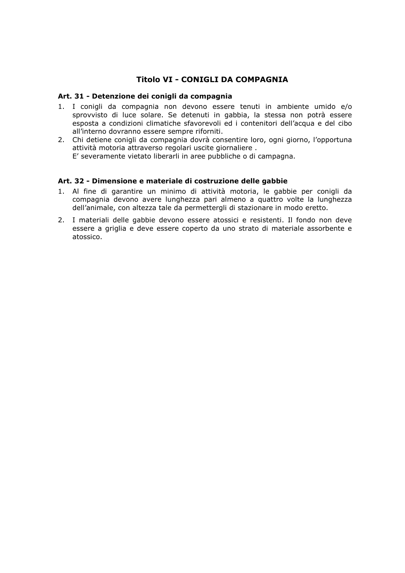# Titolo VI - CONIGLI DA COMPAGNIA

### Art. 31 - Detenzione dei conigli da compagnia

- 1. I conigli da compagnia non devono essere tenuti in ambiente umido e/o sprovvisto di luce solare. Se detenuti in gabbia, la stessa non potrà essere esposta a condizioni climatiche sfavorevoli ed i contenitori dell'acqua e del cibo all'interno dovranno essere sempre riforniti.
- 2. Chi detiene conigli da compagnia dovrà consentire loro, ogni giorno, l'opportuna attività motoria attraverso regolari uscite giornaliere. E' severamente vietato liberarli in aree pubbliche o di campagna.

# Art. 32 - Dimensione e materiale di costruzione delle gabbie

- 1. Al fine di garantire un minimo di attività motoria, le gabbie per conigli da compagnia devono avere lunghezza pari almeno a quattro volte la lunghezza dell'animale, con altezza tale da permettergli di stazionare in modo eretto.
- 2. I materiali delle gabbie devono essere atossici e resistenti. Il fondo non deve essere a griglia e deve essere coperto da uno strato di materiale assorbente e atossico.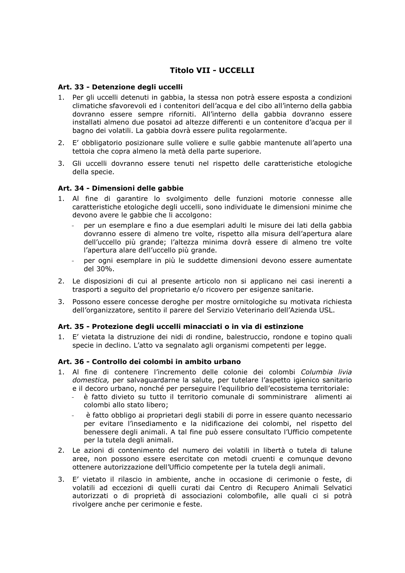# **Titolo VII - UCCELLI**

### Art. 33 - Detenzione degli uccelli

- 1. Per gli uccelli detenuti in gabbia, la stessa non potrà essere esposta a condizioni climatiche sfavorevoli ed i contenitori dell'acqua e del cibo all'interno della gabbia dovranno essere sempre riforniti. All'interno della gabbia dovranno essere installati almeno due posatoi ad altezze differenti e un contenitore d'acqua per il bagno dei volatili. La gabbia dovrà essere pulita regolarmente.
- 2. E' obbligatorio posizionare sulle voliere e sulle gabbie mantenute all'aperto una tettoia che copra almeno la metà della parte superiore.
- 3. Gli uccelli dovranno essere tenuti nel rispetto delle caratteristiche etologiche della specie.

#### Art. 34 - Dimensioni delle gabbie

- 1. Al fine di garantire lo svolgimento delle funzioni motorie connesse alle caratteristiche etologiche degli uccelli, sono individuate le dimensioni minime che devono avere le gabbie che li accolgono:
	- per un esemplare e fino a due esemplari adulti le misure dei lati della gabbia dovranno essere di almeno tre volte, rispetto alla misura dell'apertura alare dell'uccello più grande; l'altezza minima dovrà essere di almeno tre volte l'apertura alare dell'uccello più grande.
	- per ogni esemplare in più le suddette dimensioni devono essere aumentate del 30%.
- 2. Le disposizioni di cui al presente articolo non si applicano nei casi inerenti a trasporti a seguito del proprietario e/o ricovero per esigenze sanitarie.
- 3. Possono essere concesse deroghe per mostre ornitologiche su motivata richiesta dell'organizzatore, sentito il parere del Servizio Veterinario dell'Azienda USL.

#### Art. 35 - Protezione degli uccelli minacciati o in via di estinzione

1. E' vietata la distruzione dei nidi di rondine, balestruccio, rondone e topino quali specie in declino. L'atto va segnalato agli organismi competenti per legge.

#### Art. 36 - Controllo dei colombi in ambito urbano

- 1. Al fine di contenere l'incremento delle colonie dei colombi Columbia livia domestica, per salvaguardarne la salute, per tutelare l'aspetto igienico sanitario e il decoro urbano, nonché per perseguire l'equilibrio dell'ecosistema territoriale:
	- è fatto divieto su tutto il territorio comunale di somministrare alimenti ai colombi allo stato libero:
	- è fatto obbligo ai proprietari degli stabili di porre in essere guanto necessario per evitare l'insediamento e la nidificazione dei colombi, nel rispetto del benessere degli animali. A tal fine può essere consultato l'Ufficio competente per la tutela degli animali.
- 2. Le azioni di contenimento del numero dei volatili in libertà o tutela di talune aree, non possono essere esercitate con metodi cruenti e comunque devono ottenere autorizzazione dell'Ufficio competente per la tutela degli animali.
- 3. E' vietato il rilascio in ambiente, anche in occasione di cerimonie o feste, di volatili ad eccezioni di quelli curati dai Centro di Recupero Animali Selvatici autorizzati o di proprietà di associazioni colombofile, alle quali ci si potrà rivolgere anche per cerimonie e feste.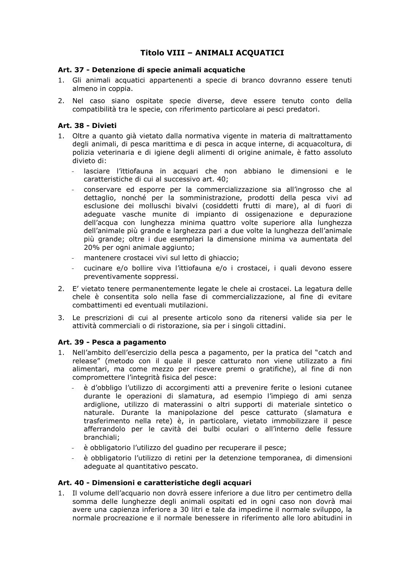# Titolo VIII - ANIMALI ACQUATICI

# Art. 37 - Detenzione di specie animali acquatiche

- 1. Gli animali acquatici appartenenti a specie di branco dovranno essere tenuti almeno in coppia.
- 2. Nel caso siano ospitate specie diverse, deve essere tenuto conto della compatibilità tra le specie, con riferimento particolare ai pesci predatori.

# Art. 38 - Divieti

- 1. Oltre a quanto già vietato dalla normativa vigente in materia di maltrattamento degli animali, di pesca marittima e di pesca in acque interne, di acquacoltura, di polizia veterinaria e di igiene degli alimenti di origine animale, è fatto assoluto divieto di:
	- lasciare l'ittiofauna in acquari che non abbiano le dimensioni e le caratteristiche di cui al successivo art. 40;
	- conservare ed esporre per la commercializzazione sia all'ingrosso che al dettaglio, nonché per la somministrazione, prodotti della pesca vivi ad esclusione dei molluschi bivalvi (cosiddetti frutti di mare), al di fuori di adeguate vasche munite di impianto di ossigenazione e depurazione dell'acqua con lunghezza minima quattro volte superiore alla lunghezza dell'animale più grande e larghezza pari a due volte la lunghezza dell'animale più grande; oltre i due esemplari la dimensione minima va aumentata del 20% per ogni animale aggiunto;
	- mantenere crostacei vivi sul letto di ghiaccio:
	- cucinare e/o bollire viva l'ittiofauna e/o i crostacei, i quali devono essere preventivamente soppressi.
- 2. E' vietato tenere permanentemente legate le chele ai crostacei. La legatura delle chele è consentita solo nella fase di commercializzazione, al fine di evitare combattimenti ed eventuali mutilazioni.
- 3. Le prescrizioni di cui al presente articolo sono da ritenersi valide sia per le attività commerciali o di ristorazione, sia per i singoli cittadini.

#### Art. 39 - Pesca a pagamento

- 1. Nell'ambito dell'esercizio della pesca a pagamento, per la pratica del "catch and release" (metodo con il quale il pesce catturato non viene utilizzato a fini alimentari, ma come mezzo per ricevere premi o gratifiche), al fine di non compromettere l'integrità fisica del pesce:
	- è d'obbligo l'utilizzo di accorgimenti atti a prevenire ferite o lesioni cutanee durante le operazioni di slamatura, ad esempio l'impiego di ami senza ardiglione, utilizzo di materassini o altri supporti di materiale sintetico o naturale. Durante la manipolazione del pesce catturato (slamatura e trasferimento nella rete) è, in particolare, vietato immobilizzare il pesce afferrandolo per le cavità dei bulbi oculari o all'interno delle fessure branchiali:
	- è obbligatorio l'utilizzo del guadino per recuperare il pesce;
	- è obbligatorio l'utilizzo di retini per la detenzione temporanea, di dimensioni adequate al quantitativo pescato.

#### Art. 40 - Dimensioni e caratteristiche degli acquari

1. Il volume dell'acquario non dovrà essere inferiore a due litro per centimetro della somma delle lunghezze degli animali ospitati ed in ogni caso non dovrà mai avere una capienza inferiore a 30 litri e tale da impedirne il normale sviluppo, la normale procreazione e il normale benessere in riferimento alle loro abitudini in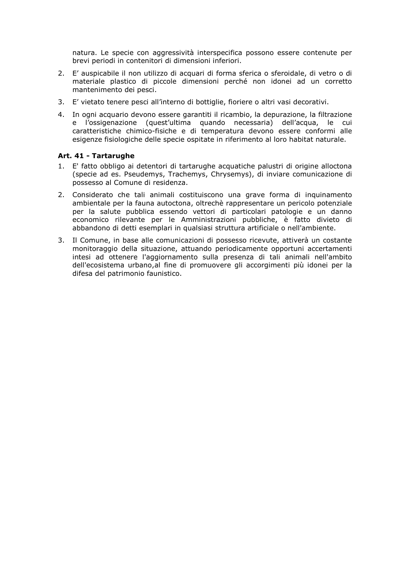natura. Le specie con aggressività interspecifica possono essere contenute per brevi periodi in contenitori di dimensioni inferiori.

- 2. E' auspicabile il non utilizzo di acquari di forma sferica o sferoidale, di vetro o di materiale plastico di piccole dimensioni perché non idonei ad un corretto mantenimento dei pesci.
- 3. E' vietato tenere pesci all'interno di bottiglie, fioriere o altri vasi decorativi.
- 4. In ogni acquario devono essere garantiti il ricambio, la depurazione, la filtrazione e l'ossigenazione (quest'ultima quando necessaria) dell'acqua, le cui caratteristiche chimico-fisiche e di temperatura devono essere conformi alle esigenze fisiologiche delle specie ospitate in riferimento al loro habitat naturale.

# Art. 41 - Tartarughe

- 1. E' fatto obbligo ai detentori di tartarughe acquatiche palustri di origine alloctona (specie ad es. Pseudemys, Trachemys, Chrysemys), di inviare comunicazione di possesso al Comune di residenza.
- Considerato che tali animali costituiscono una grave forma di inquinamento  $2.$ ambientale per la fauna autoctona, oltrechè rappresentare un pericolo potenziale per la salute pubblica essendo vettori di particolari patologie e un danno economico rilevante per le Amministrazioni pubbliche, è fatto divieto di abbandono di detti esemplari in qualsiasi struttura artificiale o nell'ambiente.
- Il Comune, in base alle comunicazioni di possesso ricevute, attiverà un costante 3. monitoraggio della situazione, attuando periodicamente opportuni accertamenti intesi ad ottenere l'aggiornamento sulla presenza di tali animali nell'ambito dell'ecosistema urbano, al fine di promuovere gli accorgimenti più idonei per la difesa del patrimonio faunistico.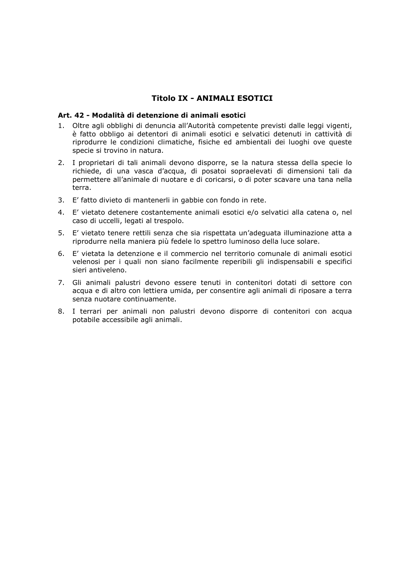# **Titolo IX - ANIMALI ESOTICI**

# Art. 42 - Modalità di detenzione di animali esotici

- 1. Oltre agli obblighi di denuncia all'Autorità competente previsti dalle leggi vigenti, è fatto obbligo ai detentori di animali esotici e selvatici detenuti in cattività di riprodurre le condizioni climatiche, fisiche ed ambientali dei luoghi ove queste specie si trovino in natura.
- 2. I proprietari di tali animali devono disporre, se la natura stessa della specie lo richiede, di una vasca d'acqua, di posatoi sopraelevati di dimensioni tali da permettere all'animale di nuotare e di coricarsi, o di poter scavare una tana nella terra.
- 3. E' fatto divieto di mantenerli in gabbie con fondo in rete.
- 4. E' vietato detenere costantemente animali esotici e/o selvatici alla catena o, nel caso di uccelli, legati al trespolo.
- 5. E' vietato tenere rettili senza che sia rispettata un'adeguata illuminazione atta a riprodurre nella maniera più fedele lo spettro luminoso della luce solare.
- 6. E' vietata la detenzione e il commercio nel territorio comunale di animali esotici velenosi per i quali non siano facilmente reperibili gli indispensabili e specifici sieri antiveleno.
- 7. Gli animali palustri devono essere tenuti in contenitori dotati di settore con acqua e di altro con lettiera umida, per consentire agli animali di riposare a terra senza nuotare continuamente.
- 8. I terrari per animali non palustri devono disporre di contenitori con acqua potabile accessibile agli animali.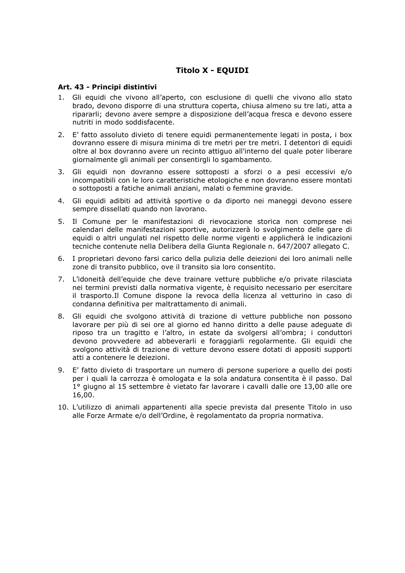# **Titolo X - EQUIDI**

#### Art. 43 - Principi distintivi

- 1. Gli equidi che vivono all'aperto, con esclusione di quelli che vivono allo stato brado, devono disporre di una struttura coperta, chiusa almeno su tre lati, atta a ripararli; devono avere sempre a disposizione dell'acqua fresca e devono essere nutriti in modo soddisfacente.
- 2. E' fatto assoluto divieto di tenere equidi permanentemente legati in posta, i box dovranno essere di misura minima di tre metri per tre metri. I detentori di equidi oltre al box dovranno avere un recinto attiguo all'interno del quale poter liberare giornalmente gli animali per consentirgli lo sgambamento.
- 3. Gli equidi non dovranno essere sottoposti a sforzi o a pesi eccessivi e/o incompatibili con le loro caratteristiche etologiche e non dovranno essere montati o sottoposti a fatiche animali anziani, malati o femmine gravide.
- 4. Gli equidi adibiti ad attività sportive o da diporto nei maneggi devono essere sempre dissellati quando non lavorano.
- 5. Il Comune per le manifestazioni di rievocazione storica non comprese nei calendari delle manifestazioni sportive, autorizzerà lo svolgimento delle gare di equidi o altri ungulati nel rispetto delle norme vigenti e applicherà le indicazioni tecniche contenute nella Delibera della Giunta Regionale n. 647/2007 allegato C.
- 6. I proprietari devono farsi carico della pulizia delle deiezioni dei loro animali nelle zone di transito pubblico, ove il transito sia loro consentito.
- 7. L'idoneità dell'equide che deve trainare vetture pubbliche e/o private rilasciata nei termini previsti dalla normativa vigente, è reguisito necessario per esercitare il trasporto.Il Comune dispone la revoca della licenza al vetturino in caso di condanna definitiva per maltrattamento di animali.
- 8. Gli equidi che svolgono attività di trazione di vetture pubbliche non possono lavorare per più di sei ore al giorno ed hanno diritto a delle pause adequate di riposo tra un tragitto e l'altro, in estate da svolgersi all'ombra; i conduttori devono provvedere ad abbeverarli e foraggiarli regolarmente. Gli equidi che svolgono attività di trazione di vetture devono essere dotati di appositi supporti atti a contenere le deiezioni.
- 9. E' fatto divieto di trasportare un numero di persone superiore a quello dei posti per i quali la carrozza è omologata e la sola andatura consentita è il passo. Dal 1º giugno al 15 settembre è vietato far lavorare i cavalli dalle ore 13,00 alle ore 16,00.
- 10. L'utilizzo di animali appartenenti alla specie prevista dal presente Titolo in uso alle Forze Armate e/o dell'Ordine, è regolamentato da propria normativa.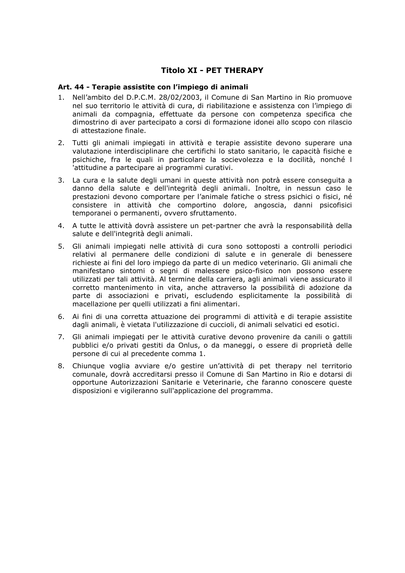# **Titolo XI - PET THERAPY**

### Art. 44 - Terapie assistite con l'impiego di animali

- 1. Nell'ambito del D.P.C.M. 28/02/2003, il Comune di San Martino in Rio promuove nel suo territorio le attività di cura, di riabilitazione e assistenza con l'impiego di animali da compagnia, effettuate da persone con competenza specifica che dimostrino di aver partecipato a corsi di formazione idonei allo scopo con rilascio di attestazione finale.
- 2. Tutti gli animali impiegati in attività e terapie assistite devono superare una valutazione interdisciplinare che certifichi lo stato sanitario, le capacità fisiche e psichiche, fra le quali in particolare la socievolezza e la docilità, nonché l 'attitudine a partecipare ai programmi curativi.
- 3. La cura e la salute degli umani in queste attività non potrà essere conseguita a danno della salute e dell'integrità degli animali. Inoltre, in nessun caso le prestazioni devono comportare per l'animale fatiche o stress psichici o fisici, né consistere in attività che comportino dolore, angoscia, danni psicofisici temporanei o permanenti, ovvero sfruttamento.
- 4. A tutte le attività dovrà assistere un pet-partner che avrà la responsabilità della salute e dell'integrità degli animali.
- 5. Gli animali impiegati nelle attività di cura sono sottoposti a controlli periodici relativi al permanere delle condizioni di salute e in generale di benessere richieste ai fini del loro impiego da parte di un medico veterinario. Gli animali che manifestano sintomi o segni di malessere psico-fisico non possono essere utilizzati per tali attività. Al termine della carriera, agli animali viene assicurato il corretto mantenimento in vita, anche attraverso la possibilità di adozione da parte di associazioni e privati, escludendo esplicitamente la possibilità di macellazione per quelli utilizzati a fini alimentari.
- 6. Ai fini di una corretta attuazione dei programmi di attività e di terapie assistite dagli animali, è vietata l'utilizzazione di cuccioli, di animali selvatici ed esotici,
- 7. Gli animali impiegati per le attività curative devono provenire da canili o gattili pubblici e/o privati gestiti da Onlus, o da maneggi, o essere di proprietà delle persone di cui al precedente comma 1.
- 8. Chiunque voglia avviare e/o gestire un'attività di pet therapy nel territorio comunale, dovrà accreditarsi presso il Comune di San Martino in Rio e dotarsi di opportune Autorizzazioni Sanitarie e Veterinarie, che faranno conoscere queste disposizioni e vigileranno sull'applicazione del programma.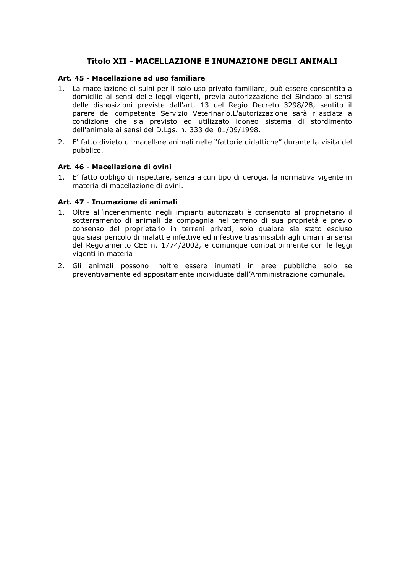# Titolo XII - MACELLAZIONE E INUMAZIONE DEGLI ANIMALI

# Art. 45 - Macellazione ad uso familiare

- 1. La macellazione di suini per il solo uso privato familiare, può essere consentita a domicilio ai sensi delle leggi vigenti, previa autorizzazione del Sindaco ai sensi delle disposizioni previste dall'art. 13 del Regio Decreto 3298/28, sentito il parere del competente Servizio Veterinario.L'autorizzazione sarà rilasciata a condizione che sia previsto ed utilizzato idoneo sistema di stordimento dell'animale ai sensi del D.Lgs. n. 333 del 01/09/1998.
- 2. E' fatto divieto di macellare animali nelle "fattorie didattiche" durante la visita del pubblico.

# Art. 46 - Macellazione di ovini

1. E' fatto obbligo di rispettare, senza alcun tipo di deroga, la normativa vigente in materia di macellazione di ovini.

# Art. 47 - Inumazione di animali

- 1. Oltre all'incenerimento negli impianti autorizzati è consentito al proprietario il sotterramento di animali da compagnia nel terreno di sua proprietà e previo consenso del proprietario in terreni privati, solo qualora sia stato escluso qualsiasi pericolo di malattie infettive ed infestive trasmissibili agli umani ai sensi del Regolamento CEE n. 1774/2002, e comunque compatibilmente con le leggi vigenti in materia
- 2. Gli animali possono inoltre essere inumati in aree pubbliche solo se preventivamente ed appositamente individuate dall'Amministrazione comunale.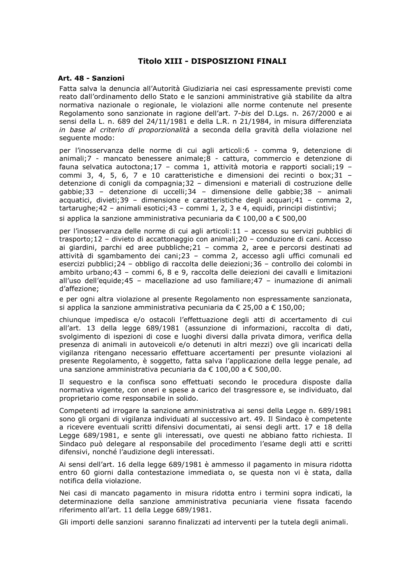# Titolo XIII - DISPOSIZIONI FINALI

#### Art. 48 - Sanzioni

Fatta salva la denuncia all'Autorità Giudiziaria nei casi espressamente previsti come reato dall'ordinamento dello Stato e le sanzioni amministrative già stabilite da altra normativa nazionale o regionale, le violazioni alle norme contenute nel presente Regolamento sono sanzionate in ragione dell'art. 7-bis del D.Lgs. n. 267/2000 e ai sensi della L. n. 689 del 24/11/1981 e della L.R. n 21/1984, in misura differenziata in base al criterio di proporzionalità a seconda della gravità della violazione nel sequente modo:

per l'inosservanza delle norme di cui agli articoli:6 - comma 9, detenzione di animali;7 - mancato benessere animale;8 - cattura, commercio e detenzione di fauna selvatica autoctona;17 - comma 1, attività motoria e rapporti sociali;19 commi 3, 4, 5, 6, 7 e 10 caratteristiche e dimensioni dei recinti o box; 31 detenzione di conigli da compagnia;32 - dimensioni e materiali di costruzione delle gabbie;33 - detenzione di uccelli;34 - dimensione delle gabbie;38 - animali acquatici, divieti;39 - dimensione e caratteristiche degli acquari;41 - comma 2, tartarughe; 42 - animali esotici; 43 - commi 1, 2, 3 e 4, equidi, principi distintivi;

si applica la sanzione amministrativa pecuniaria da € 100.00 a € 500.00

per l'inosservanza delle norme di cui agli articoli:11 - accesso su servizi pubblici di trasporto; 12 - divieto di accattonaggio con animali; 20 - conduzione di cani. Accesso ai giardini, parchi ed aree pubbliche; 21 - comma 2, aree e percorsi destinati ad attività di sgambamento dei cani; 23 - comma 2, accesso agli uffici comunali ed esercizi pubblici; 24 - obbligo di raccolta delle deiezioni; 36 - controllo dei colombi in ambito urbano; 43 - commi 6, 8 e 9, raccolta delle deiezioni dei cavalli e limitazioni all'uso dell'equide;45 - macellazione ad uso familiare;47 - inumazione di animali d'affezione:

e per ogni altra violazione al presente Regolamento non espressamente sanzionata, si applica la sanzione amministrativa pecuniaria da € 25,00 a € 150,00;

chiunque impedisca e/o ostacoli l'effettuazione degli atti di accertamento di cui all'art. 13 della legge 689/1981 (assunzione di informazioni, raccolta di dati, svolgimento di ispezioni di cose e luoghi diversi dalla privata dimora, verifica della presenza di animali in autoveicoli e/o detenuti in altri mezzi) ove gli incaricati della vigilanza ritengano necessario effettuare accertamenti per presunte violazioni al presente Regolamento, è soggetto, fatta salva l'applicazione della legge penale, ad una sanzione amministrativa pecuniaria da € 100,00 a € 500,00.

Il sequestro e la confisca sono effettuati secondo le procedura disposte dalla normativa vigente, con oneri e spese a carico del trasgressore e, se individuato, dal proprietario come responsabile in solido.

Competenti ad irrogare la sanzione amministrativa ai sensi della Legge n. 689/1981 sono gli organi di vigilanza individuati al successivo art. 49. Il Sindaco è competente a ricevere eventuali scritti difensivi documentati, ai sensi degli artt. 17 e 18 della Legge 689/1981, e sente gli interessati, ove questi ne abbiano fatto richiesta. Il Sindaco può delegare al responsabile del procedimento l'esame degli atti e scritti difensivi, nonché l'audizione degli interessati.

Ai sensi dell'art. 16 della legge 689/1981 è ammesso il pagamento in misura ridotta entro 60 giorni dalla contestazione immediata o, se questa non vi è stata, dalla notifica della violazione.

Nei casi di mancato pagamento in misura ridotta entro i termini sopra indicati, la determinazione della sanzione amministrativa pecuniaria viene fissata facendo riferimento all'art. 11 della Legge 689/1981.

Gli importi delle sanzioni saranno finalizzati ad interventi per la tutela degli animali.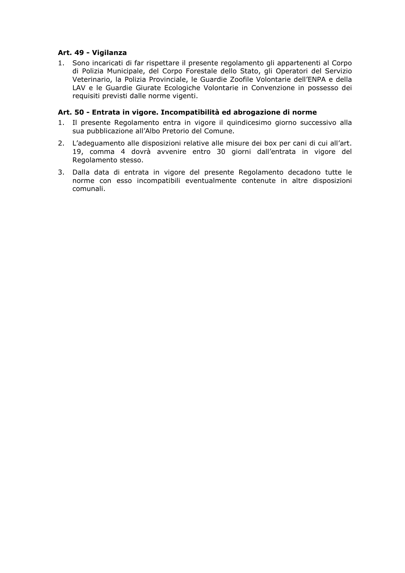# Art. 49 - Vigilanza

1. Sono incaricati di far rispettare il presente regolamento gli appartenenti al Corpo di Polizia Municipale, del Corpo Forestale dello Stato, gli Operatori del Servizio Veterinario, la Polizia Provinciale, le Guardie Zoofile Volontarie dell'ENPA e della LAV e le Guardie Giurate Ecologiche Volontarie in Convenzione in possesso dei requisiti previsti dalle norme vigenti.

### Art. 50 - Entrata in vigore. Incompatibilità ed abrogazione di norme

- 1. Il presente Regolamento entra in vigore il quindicesimo giorno successivo alla sua pubblicazione all'Albo Pretorio del Comune.
- 2. L'adeguamento alle disposizioni relative alle misure dei box per cani di cui all'art. 19, comma 4 dovrà avvenire entro 30 giorni dall'entrata in vigore del Regolamento stesso.
- 3. Dalla data di entrata in vigore del presente Regolamento decadono tutte le norme con esso incompatibili eventualmente contenute in altre disposizioni comunali.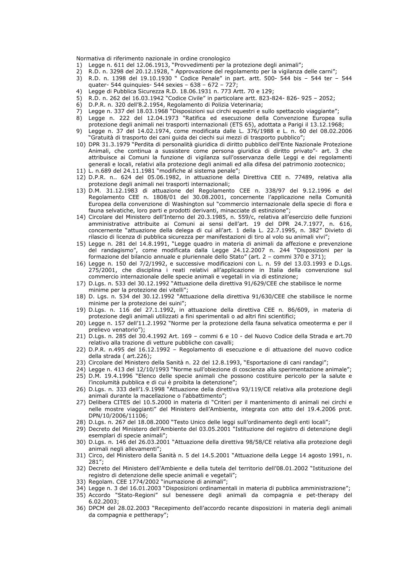Normativa di riferimento nazionale in ordine cronologico

- 
- 1) Legge n. 611 del 12.06.1913, "Provvedimenti per la protezione degli animali";<br>2) R.D. n. 3298 del 20.12.1928, "Approvazione del regolamento per la vigilanza delle carni";
- 3) R.D. n. 1398 del 19.10.1930 " Codice Penale" in part. artt. 500- 544 bis 544 ter 544 quater- 544 quinquies- 544 sexies - 638 - 672 - 727;
- $4)$ Legge di Pubblica Sicurezza R.D. 18.06.1931 n. 773 Artt. 70 e 129;
- R.D. n. 262 del 16.03.1942 "Codice Civile" in particolare artt. 823-824-826-925 2052; 5)
- 6) D.P.R. n. 320 dell'8.2.1954, Regolamento di Polizia Veterinaria;
- 
- 7) Legge n. 337 del 18.03.1968 "Disposizioni sui circhi equestri e sullo spettacolo viaggiante";<br>8) Legge n. 222 del 12.04.1973 "Ratifica ed esecuzione della Convenzione Europea sulla protezione degli animali nei trasporti internazionali (ETS 65), adottata a Parigi il 13.12.1968;
- 9) Legge n. 37 del 14.02.1974, come modificata dalle L. 376/1988 e L. n. 60 del 08.02.2006 "Gratuità di trasporto dei cani quida dei ciechi sui mezzi di trasporto pubblico";
- 10) DPR 31.3.1979 "Perdita di personalità giuridica di diritto pubblico dell'Ente Nazionale Protezione Animali, che continua a sussistere come persona giuridica di diritto privato"- art. 3 che attribuisce ai Comuni la funzione di vigilanza sull'osservanza delle Leggi e dei regolamenti generali e locali, relativi alla protezione degli animali ed alla difesa del patrimonio zootecnico;
- 11) L. n.689 del 24.11.1981 "modifiche al sistema penale";
- 12) D.P.R. n., 624 del 05.06.1982, in attuazione della Direttiva CEE n. 77489, relativa alla protezione degli animali nei trasporti internazionali;
- 13) D.M. 31.12.1983 di attuazione del Regolamento CEE n. 338/97 del 9.12.1996 e del Regolamento CEE n. 1808/01 del 30.08.2001, concernente l'applicazione nella Comunità Europea della convenzione di Washington sul "commercio internazionale della specie di flora e fauna selvatiche, loro parti e prodotti derivanti, minacciate di estinzione";
- 14) Circolare del Ministero dell'Interno del 20.3.1985, n. 559/c, relativa all'esercizio delle funzioni amministrative attribuite ai Comuni ai sensi dell'art. 19 del DPR 24.7.1977, n. 616, concernente "attuazione della delega di cui all'art. 1 della L. 22.7.1995, n. 382" Divieto di rilascio di licenza di pubblica sicurezza per manifestazioni di tiro al volo su animali vivi":
- 15) Legge n. 281 del 14.8.1991, "Legge quadro in materia di animali da affezione e prevenzione del randagismo", come modificata dalla Legge 24.12.2007 n. 244 "Disposizioni per la formazione del bilancio annuale e pluriennale dello Stato" (art. 2 - commi 370 e 371);
- 16) Legge n. 150 del 7/2/1992, e successive modificazioni con L. n. 59 del 13.03.1993 e D.Lgs. 275/2001, che disciplina i reati relativi all'applicazione in Italia della convenzione sul commercio internazionale delle specie animali e vegetali in via di estinzione;
- 17) D.Lqs. n. 533 del 30.12.1992 "Attuazione della direttiva 91/629/CEE che stabilisce le norme minime per la protezione dei vitelli";
- 18) D. Las. n. 534 del 30.12.1992 "Attuazione della direttiva 91/630/CEE che stabilisce le norme minime per la protezione dei suini";
- 19) D.Lqs. n. 116 del 27.1.1992, in attuazione della direttiva CEE n. 86/609, in materia di protezione degli animali utilizzati a fini sperimentali o ad altri fini scientifici;
- 20) Legge n. 157 dell'11.2.1992 "Norme per la protezione della fauna selvatica omeoterma e per il prelievo venatorio");
- 21) D.Lgs. n. 285 del 30.4.1992 Art. 169 commi 6 e 10 del Nuovo Codice della Strada e art.70 relativo alla trazione di vetture pubbliche con cavalli;
- 22) D.P.R. n.495 del 16.12.1992 Regolamento di esecuzione e di attuazione del nuovo codice della strada (art.226);
- 23) Circolare del Ministero della Sanità n. 22 del 12.8.1993, "Esportazione di cani randagi";
- 24) Legge n. 413 del 12/10/1993 "Norme sull'obiezione di coscienza alla sperimentazione animale";
- 25) D.M. 19.4.1996 "Elenco delle specie animali che possono costituire pericolo per la salute e l'incolumità pubblica e di cui è proibita la detenzione";
- 26) D.Lgs. n. 333 dell'1.9.1998 "Attuazione della direttiva 93/119/CE relativa alla protezione degli animali durante la macellazione o l'abbattimento";
- 27) Delibera CITES del 10.5.2000 in materia di "Criteri per il mantenimento di animali nei circhi e nelle mostre viaggianti" del Ministero dell'Ambiente, integrata con atto del 19.4.2006 prot. DPN/10/2006/11106;
- 28) D.Lqs. n. 267 del 18.08.2000 "Testo Unico delle leggi sull'ordinamento degli enti locali";
- 29) Decreto del Ministero dell'Ambiente del 03.05.2001 "Istituzione del registro di detenzione degli esemplari di specie animali"
- 30) D.Lgs. n. 146 del 26.03.2001 "Attuazione della direttiva 98/58/CE relativa alla protezione degli animali negli allevamenti";
- 31) Circo, del Ministero della Sanità n. 5 del 14.5.2001 "Attuazione della Legge 14 agosto 1991, n.  $281''$ :
- 32) Decreto del Ministero dell'Ambiente e della tutela del territorio dell'08.01.2002 "Istituzione del registro di detenzione delle specie animali e vegetali":
- 33) Regolam, CEE 1774/2002 "inumazione di animali":
- 34) Legge n. 3 del 16.01.2003 "Disposizioni ordinamentali in materia di pubblica amministrazione";
- 35) Accordo "Stato-Regioni" sul benessere degli animali da compagnia e pet-therapy del  $6.02.2003;$
- 36) DPCM del 28.02.2003 "Recepimento dell'accordo recante disposizioni in materia degli animali da compagnia e pettherapy";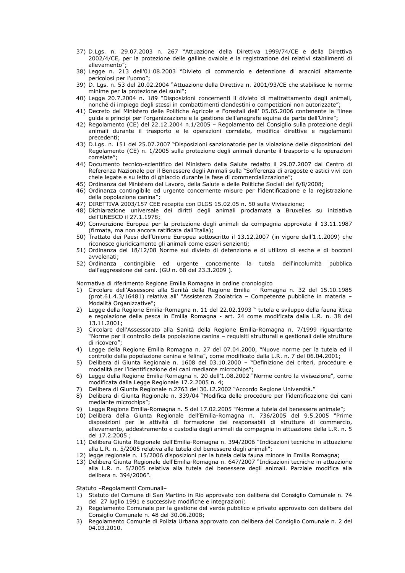- 37) D.Lgs. n. 29.07.2003 n. 267 "Attuazione della Direttiva 1999/74/CE e della Direttiva 2002/4/CE, per la protezione delle galline ovaiole e la registrazione dei relativi stabilimenti di allevamento";
- 38) Legge n. 213 dell'01.08.2003 "Divieto di commercio e detenzione di aracnidi altamente pericolosi per l'uomo";
- 39) D. Lgs. n. 53 del 20.02.2004 "Attuazione della Direttiva n. 2001/93/CE che stabilisce le norme minime per la protezione dei suini";
- 40) Legge 20.7.2004 n. 189 "Disposizioni concernenti il divieto di maltrattamento degli animali, nonché di impiego degli stessi in combattimenti clandestini o competizioni non autorizzate";
- 41) Decreto del Ministero delle Politiche Agricole e Forestali dell' 05.05.2006 contenente le "linee guida e principi per l'organizzazione e la gestione dell'anagrafe equina da parte dell'Unire";
- 42) Regolamento (CE) del 22.12.2004 n.1/2005 Regolamento del Consiglio sulla protezione degli animali durante il trasporto e le operazioni correlate, modifica direttive e regolamenti precedenti:
- 43) D.Lgs. n. 151 del 25.07.2007 "Disposizioni sanzionatorie per la violazione delle disposizioni del Regolamento (CE) n. 1/2005 sulla protezione degli animali durante il trasporto e le operazioni correlate";
- 44) Documento tecnico-scientifico del Ministero della Salute redatto il 29.07.2007 dal Centro di Referenza Nazionale per il Benessere degli Animali sulla "Sofferenza di aragoste e astici vivi con chele legate e su letto di ghiaccio durante la fase di commercializzazione";
- 45) Ordinanza del Ministero del Lavoro, della Salute e delle Politiche Sociali del 6/8/2008;
- 46) Ordinanza contingibile ed urgente concernente misure per l'identificazione e la registrazione della popolazione canina";
- 47) DIRETTIVA 2003/157 CEE recepita con DLGS 15.02.05 n. 50 sulla Vivisezione;
- 48) Dichiarazione universale dei diritti degli animali proclamata a Bruxelles su iniziativa dell'UNESCO il 27.1.1978;
- 49) Convenzione Europea per la protezione degli animali da compagnia approvata il 13.11.1987 (firmata, ma non ancora ratificata dall'Italia);
- 50) Trattato dei Paesi dell'Unione Europea sottoscritto il 13.12.2007 (in vigore dall'1.1.2009) che riconosce giuridicamente gli animali come esseri senzienti;
- 51) Ordinanza del 18/12/08 Norme sul divieto di detenzione e di utilizzo di esche e di bocconi avvelenati;
- contingibile ed urgente concernente la tutela dell'incolumità pubblica 52) Ordinanza dall'aggressione dei cani. (GU n. 68 del 23.3.2009).

Normativa di riferimento Regione Emilia Romagna in ordine cronologico

- $1)$ Circolare dell'Assessore alla Sanità della Regione Emilia - Romagna n. 32 del 15.10.1985 (prot.61.4.3/16481) relativa all' "Assistenza Zooiatrica - Competenze pubbliche in materia -Modalità Organizzative";
- 2) Legge della Regione Emilia-Romagna n. 11 del 22.02.1993 "tutela e sviluppo della fauna ittica e regolazione della pesca in Emilia Romagna - art. 24 come modificata dalla L.R. n. 38 del 13.11.2001:
- 3) Circolare dell'Assessorato alla Sanità della Regione Emilia-Romagna n. 7/1999 riguardante Norme per il controllo della popolazione canina - reguisiti strutturali e gestionali delle strutture" di ricovero";
- 4) Legge della Regione Emilia Romagna n. 27 del 07.04.2000, "Nuove norme per la tutela ed il controllo della popolazione canina e felina", come modificato dalla L.R. n. 7 del 06.04.2001;
- 5) Delibera di Giunta Regionale n. 1608 del 03.10.2000 "Definizione dei criteri, procedure e modalità per l'identificazione dei cani mediante microchips";
- 6) Legge della Regione Emilia-Romagna n. 20 dell'1.08.2002 "Norme contro la vivisezione", come modificata dalla Legge Regionale 17.2.2005 n. 4;
- Delibera di Giunta Regionale n.2763 del 30.12.2002 "Accordo Regione Università."
- 8) Delibera di Giunta Regionale n. 339/04 "Modifica delle procedure per l'identificazione dei cani mediante microchips";
- 9) Legge Regione Emilia-Romagna n. 5 del 17.02.2005 "Norme a tutela del benessere animale";
- 10) Delibera della Giunta Regionale dell'Emilia-Romagna n. 736/2005 del 9.5.2005 "Prime disposizioni per le attività di formazione dei responsabili di strutture di commercio, allevamento, addestramento e custodia degli animali da compagnia in attuazione della L.R. n. 5 del 17.2.2005;
- 11) Delibera Giunta Regionale dell'Emilia-Romagna n. 394/2006 "Indicazioni tecniche in attuazione alla L.R. n. 5/2005 relativa alla tutela del benessere degli animali";
- 12) legge regionale n. 15/2006 disposizioni per la tutela della fauna minore in Emilia Romagna;
- 13) Delibera Giunta Regionale dell'Emilia-Romagna n. 647/2007 "Indicazioni tecniche in attuazione alla L.R. n. 5/2005 relativa alla tutela del benessere degli animali. Parziale modifica alla delibera n. 394/2006".

Statuto -Regolamenti Comunali-

- 1) Statuto del Comune di San Martino in Rio approvato con delibera del Consiglio Comunale n. 74 del 27 luglio 1991 e successive modifiche e integrazioni;
- 2) Regolamento Comunale per la gestione del verde pubblico e privato approvato con delibera del Consiglio Comunale n. 48 del 30.06.2008;
- 3) Regolamento Comunle di Polizia Urbana approvato con delibera del Consiglio Comunale n. 2 del 04.03.2010.